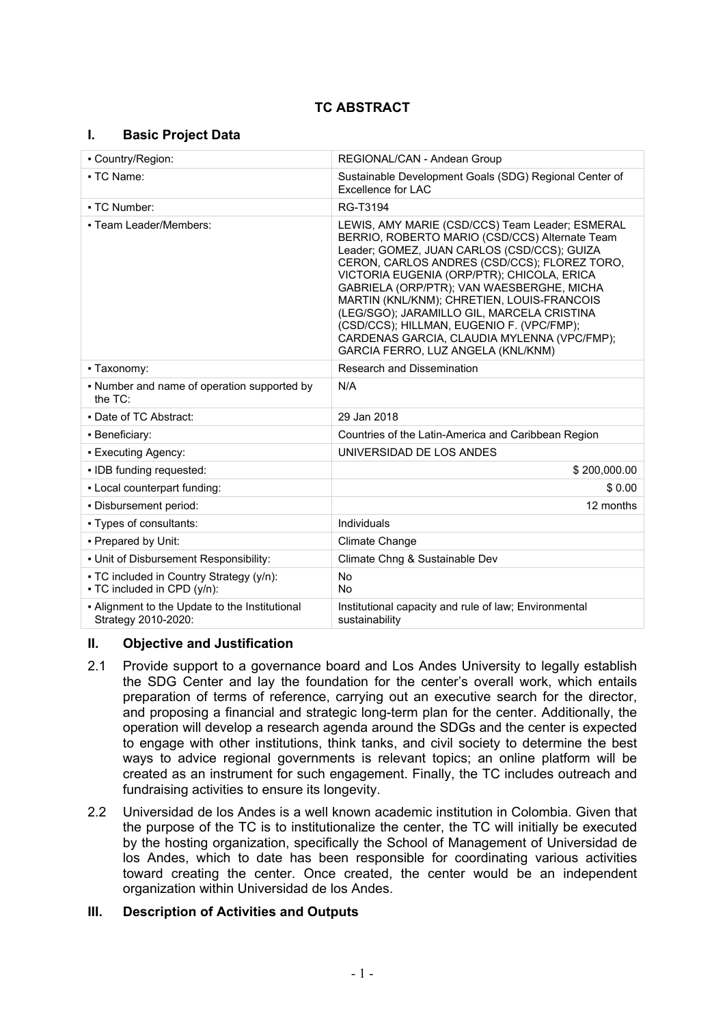## **TC ABSTRACT**

## **I. Basic Project Data**

| - Country/Region:                                                       | REGIONAL/CAN - Andean Group                                                                                                                                                                                                                                                                                                                                                                                                                                                                                               |  |
|-------------------------------------------------------------------------|---------------------------------------------------------------------------------------------------------------------------------------------------------------------------------------------------------------------------------------------------------------------------------------------------------------------------------------------------------------------------------------------------------------------------------------------------------------------------------------------------------------------------|--|
| • TC Name:                                                              | Sustainable Development Goals (SDG) Regional Center of<br>Excellence for LAC                                                                                                                                                                                                                                                                                                                                                                                                                                              |  |
| - TC Number:                                                            | RG-T3194                                                                                                                                                                                                                                                                                                                                                                                                                                                                                                                  |  |
| • Team Leader/Members:                                                  | LEWIS, AMY MARIE (CSD/CCS) Team Leader; ESMERAL<br>BERRIO, ROBERTO MARIO (CSD/CCS) Alternate Team<br>Leader; GOMEZ, JUAN CARLOS (CSD/CCS); GUIZA<br>CERON, CARLOS ANDRES (CSD/CCS); FLOREZ TORO,<br>VICTORIA EUGENIA (ORP/PTR); CHICOLA, ERICA<br>GABRIELA (ORP/PTR); VAN WAESBERGHE, MICHA<br>MARTIN (KNL/KNM); CHRETIEN, LOUIS-FRANCOIS<br>(LEG/SGO); JARAMILLO GIL, MARCELA CRISTINA<br>(CSD/CCS); HILLMAN, EUGENIO F. (VPC/FMP);<br>CARDENAS GARCIA, CLAUDIA MYLENNA (VPC/FMP);<br>GARCIA FERRO, LUZ ANGELA (KNL/KNM) |  |
| • Taxonomy:                                                             | Research and Dissemination                                                                                                                                                                                                                                                                                                                                                                                                                                                                                                |  |
| • Number and name of operation supported by<br>the TC:                  | N/A                                                                                                                                                                                                                                                                                                                                                                                                                                                                                                                       |  |
| • Date of TC Abstract:                                                  | 29 Jan 2018                                                                                                                                                                                                                                                                                                                                                                                                                                                                                                               |  |
| - Beneficiary:                                                          | Countries of the Latin-America and Caribbean Region                                                                                                                                                                                                                                                                                                                                                                                                                                                                       |  |
| - Executing Agency:                                                     | UNIVERSIDAD DE LOS ANDES                                                                                                                                                                                                                                                                                                                                                                                                                                                                                                  |  |
| - IDB funding requested:                                                | \$200,000.00                                                                                                                                                                                                                                                                                                                                                                                                                                                                                                              |  |
| - Local counterpart funding:                                            | \$0.00                                                                                                                                                                                                                                                                                                                                                                                                                                                                                                                    |  |
| . Disbursement period:                                                  | 12 months                                                                                                                                                                                                                                                                                                                                                                                                                                                                                                                 |  |
| • Types of consultants:                                                 | Individuals                                                                                                                                                                                                                                                                                                                                                                                                                                                                                                               |  |
| • Prepared by Unit:                                                     | Climate Change                                                                                                                                                                                                                                                                                                                                                                                                                                                                                                            |  |
| . Unit of Disbursement Responsibility:                                  | Climate Chng & Sustainable Dev                                                                                                                                                                                                                                                                                                                                                                                                                                                                                            |  |
| • TC included in Country Strategy (y/n):<br>• TC included in CPD (y/n): | <b>No</b><br><b>No</b>                                                                                                                                                                                                                                                                                                                                                                                                                                                                                                    |  |
| - Alignment to the Update to the Institutional<br>Strategy 2010-2020:   | Institutional capacity and rule of law; Environmental<br>sustainability                                                                                                                                                                                                                                                                                                                                                                                                                                                   |  |

## **II. Objective and Justification**

- 2.1 Provide support to a governance board and Los Andes University to legally establish the SDG Center and lay the foundation for the center's overall work, which entails preparation of terms of reference, carrying out an executive search for the director, and proposing a financial and strategic long-term plan for the center. Additionally, the operation will develop a research agenda around the SDGs and the center is expected to engage with other institutions, think tanks, and civil society to determine the best ways to advice regional governments is relevant topics; an online platform will be created as an instrument for such engagement. Finally, the TC includes outreach and fundraising activities to ensure its longevity.
- 2.2 Universidad de los Andes is a well known academic institution in Colombia. Given that the purpose of the TC is to institutionalize the center, the TC will initially be executed by the hosting organization, specifically the School of Management of Universidad de los Andes, which to date has been responsible for coordinating various activities toward creating the center. Once created, the center would be an independent organization within Universidad de los Andes.

## **III. Description of Activities and Outputs**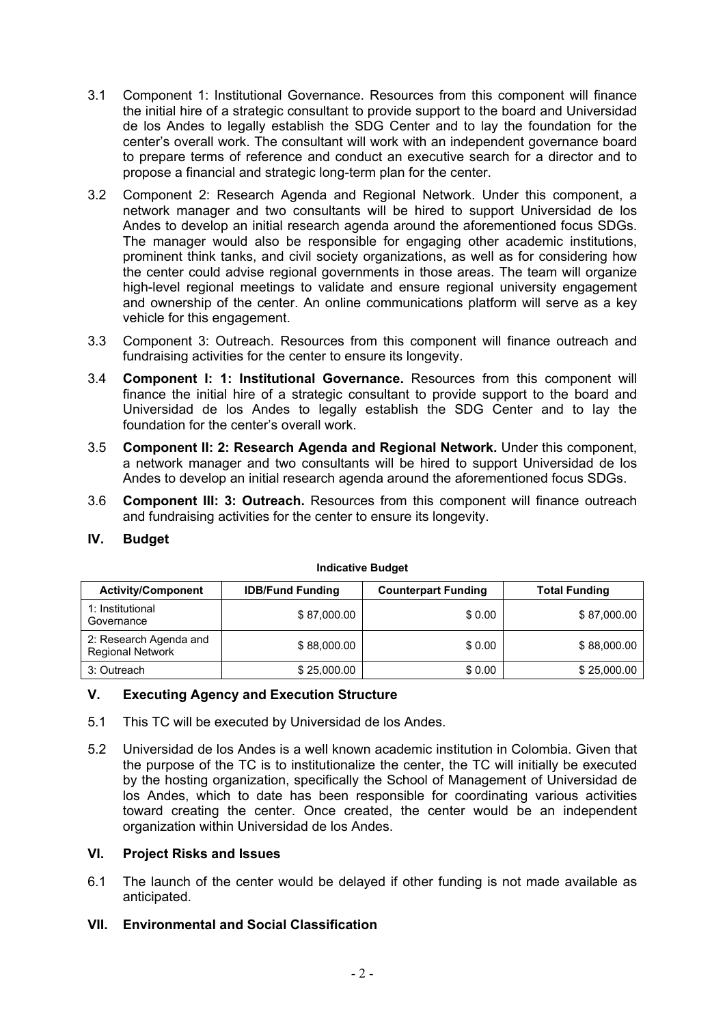- 3.1 Component 1: Institutional Governance. Resources from this component will finance the initial hire of a strategic consultant to provide support to the board and Universidad de los Andes to legally establish the SDG Center and to lay the foundation for the center's overall work. The consultant will work with an independent governance board to prepare terms of reference and conduct an executive search for a director and to propose a financial and strategic long-term plan for the center.
- 3.2 Component 2: Research Agenda and Regional Network. Under this component, a network manager and two consultants will be hired to support Universidad de los Andes to develop an initial research agenda around the aforementioned focus SDGs. The manager would also be responsible for engaging other academic institutions, prominent think tanks, and civil society organizations, as well as for considering how the center could advise regional governments in those areas. The team will organize high-level regional meetings to validate and ensure regional university engagement and ownership of the center. An online communications platform will serve as a key vehicle for this engagement.
- 3.3 Component 3: Outreach. Resources from this component will finance outreach and fundraising activities for the center to ensure its longevity.
- 3.4 **Component I: 1: Institutional Governance.** Resources from this component will finance the initial hire of a strategic consultant to provide support to the board and Universidad de los Andes to legally establish the SDG Center and to lay the foundation for the center's overall work.
- 3.5 **Component II: 2: Research Agenda and Regional Network.** Under this component, a network manager and two consultants will be hired to support Universidad de los Andes to develop an initial research agenda around the aforementioned focus SDGs.
- 3.6 **Component III: 3: Outreach.** Resources from this component will finance outreach and fundraising activities for the center to ensure its longevity.

**Indicative Budget**

| <b>Activity/Component</b>                         | <b>IDB/Fund Funding</b> | <b>Counterpart Funding</b> | <b>Total Funding</b> |
|---------------------------------------------------|-------------------------|----------------------------|----------------------|
| 1: Institutional<br>Governance                    | \$87,000.00             | \$0.00                     | \$87,000.00          |
| 2: Research Agenda and<br><b>Regional Network</b> | \$88,000.00             | \$0.00                     | \$88,000.00          |
| 3: Outreach                                       | \$25,000.00             | \$0.00                     | \$25,000.00          |

## **IV. Budget**

# **V. Executing Agency and Execution Structure**

- 5.1 This TC will be executed by Universidad de los Andes.
- 5.2 Universidad de los Andes is a well known academic institution in Colombia. Given that the purpose of the TC is to institutionalize the center, the TC will initially be executed by the hosting organization, specifically the School of Management of Universidad de los Andes, which to date has been responsible for coordinating various activities toward creating the center. Once created, the center would be an independent organization within Universidad de los Andes.

## **VI. Project Risks and Issues**

6.1 The launch of the center would be delayed if other funding is not made available as anticipated.

## **VII. Environmental and Social Classification**